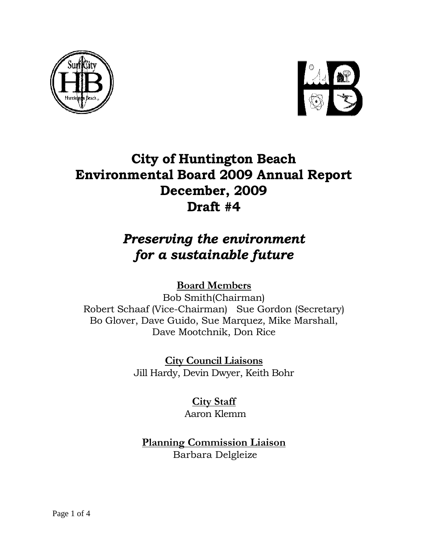



# **City of Huntington Beach Environmental Board 2009 Annual Report December, 2009 Draft #4**

# *Preserving the environment for a sustainable future*

# **Board Members**

Bob Smith(Chairman) Robert Schaaf (Vice-Chairman) Sue Gordon (Secretary) Bo Glover, Dave Guido, Sue Marquez, Mike Marshall, Dave Mootchnik, Don Rice

> **City Council Liaisons** Jill Hardy, Devin Dwyer, Keith Bohr

> > **City Staff**  Aaron Klemm

**Planning Commission Liaison** Barbara Delgleize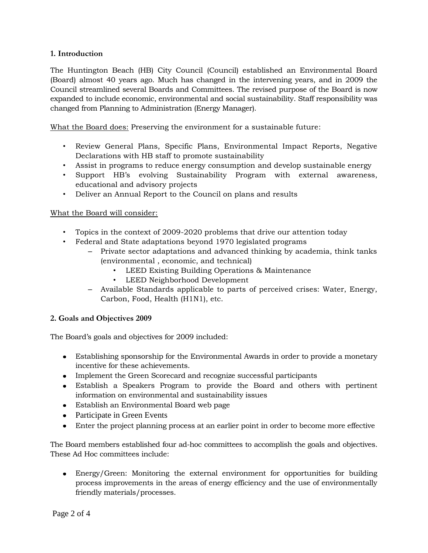# **1. Introduction**

The Huntington Beach (HB) City Council (Council) established an Environmental Board (Board) almost 40 years ago. Much has changed in the intervening years, and in 2009 the Council streamlined several Boards and Committees. The revised purpose of the Board is now expanded to include economic, environmental and social sustainability. Staff responsibility was changed from Planning to Administration (Energy Manager).

What the Board does: Preserving the environment for a sustainable future:

- Review General Plans, Specific Plans, Environmental Impact Reports, Negative Declarations with HB staff to promote sustainability
- Assist in programs to reduce energy consumption and develop sustainable energy
- Support HB's evolving Sustainability Program with external awareness, educational and advisory projects
- Deliver an Annual Report to the Council on plans and results

# What the Board will consider:

- Topics in the context of 2009-2020 problems that drive our attention today
- Federal and State adaptations beyond 1970 legislated programs
	- Private sector adaptations and advanced thinking by academia, think tanks (environmental , economic, and technical)
		- LEED Existing Building Operations & Maintenance
		- LEED Neighborhood Development
	- Available Standards applicable to parts of perceived crises: Water, Energy, Carbon, Food, Health (H1N1), etc.

# **2. Goals and Objectives 2009**

The Board's goals and objectives for 2009 included:

- Establishing sponsorship for the Environmental Awards in order to provide a monetary incentive for these achievements.
- Implement the Green Scorecard and recognize successful participants
- Establish a Speakers Program to provide the Board and others with pertinent information on environmental and sustainability issues
- Establish an Environmental Board web page
- Participate in Green Events
- Enter the project planning process at an earlier point in order to become more effective

The Board members established four ad-hoc committees to accomplish the goals and objectives. These Ad Hoc committees include:

Energy/Green: Monitoring the external environment for opportunities for building process improvements in the areas of energy efficiency and the use of environmentally friendly materials/processes.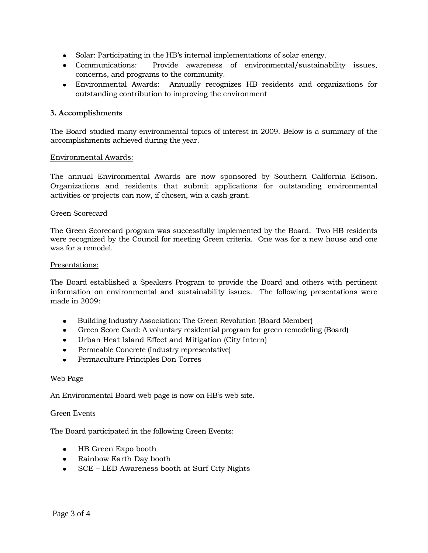- Solar: Participating in the HB's internal implementations of solar energy.
- Communications: Provide awareness of environmental/sustainability issues, concerns, and programs to the community.
- Environmental Awards: Annually recognizes HB residents and organizations for outstanding contribution to improving the environment

# **3. Accomplishments**

The Board studied many environmental topics of interest in 2009. Below is a summary of the accomplishments achieved during the year.

# Environmental Awards:

The annual Environmental Awards are now sponsored by Southern California Edison. Organizations and residents that submit applications for outstanding environmental activities or projects can now, if chosen, win a cash grant.

#### Green Scorecard

The Green Scorecard program was successfully implemented by the Board. Two HB residents were recognized by the Council for meeting Green criteria. One was for a new house and one was for a remodel.

#### Presentations:

The Board established a Speakers Program to provide the Board and others with pertinent information on environmental and sustainability issues. The following presentations were made in 2009:

- Building Industry Association: The Green Revolution (Board Member)
- Green Score Card: A voluntary residential program for green remodeling (Board)  $\bullet$
- Urban Heat Island Effect and Mitigation (City Intern)  $\bullet$  .
- Permeable Concrete (Industry representative)
- Permaculture Principles Don Torres

# Web Page

An Environmental Board web page is now on HB's web site.

# Green Events

The Board participated in the following Green Events:

- HB Green Expo booth
- Rainbow Earth Day booth
- SCE LED Awareness booth at Surf City Nights